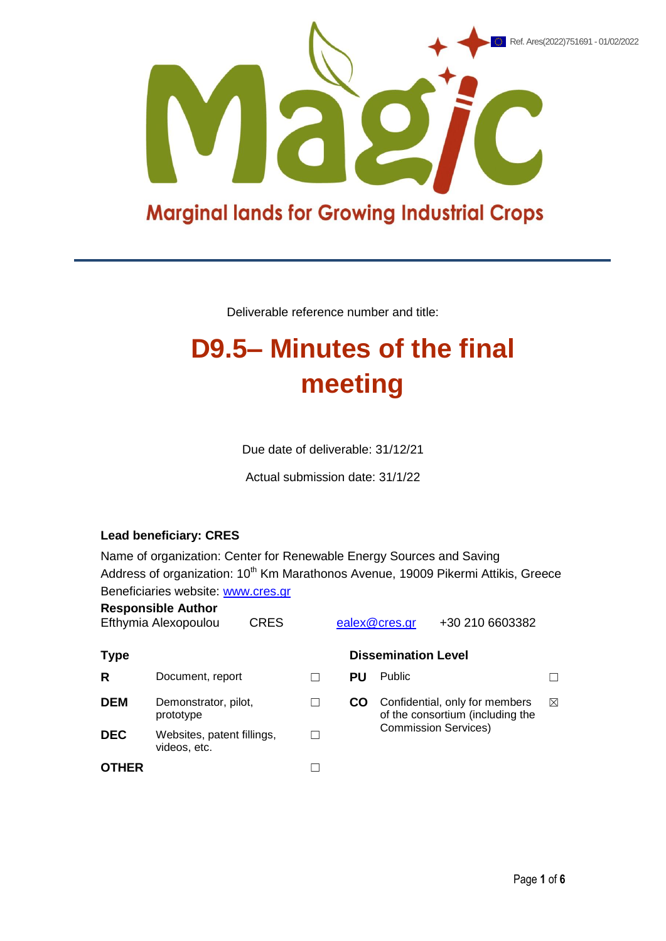

# **Marginal lands for Growing Industrial Crops**

Deliverable reference number and title:

# **D9.5– Minutes of the final meeting**

Due date of deliverable: 31/12/21

Actual submission date: 31/1/22

### **Lead beneficiary: CRES**

Name of organization: Center for Renewable Energy Sources and Saving Address of organization: 10<sup>th</sup> Km Marathonos Avenue, 19009 Pikermi Attikis, Greece Beneficiaries website: [www.cres.gr](http://www.cres.gr/)

| <b>Responsible Author</b><br>Efthymia Alexopoulou<br><b>CRES</b> |                                            |  |    | ealex@cres.gr                                                      | +30 210 6603382 |           |
|------------------------------------------------------------------|--------------------------------------------|--|----|--------------------------------------------------------------------|-----------------|-----------|
| <b>Type</b>                                                      |                                            |  |    | <b>Dissemination Level</b>                                         |                 |           |
| R                                                                | Document, report                           |  | PU | <b>Public</b>                                                      |                 |           |
| <b>DEM</b>                                                       | Demonstrator, pilot,<br>prototype          |  | CO | Confidential, only for members<br>of the consortium (including the |                 | $\bowtie$ |
| <b>DEC</b>                                                       | Websites, patent fillings,<br>videos, etc. |  |    | <b>Commission Services)</b>                                        |                 |           |
| <b>OTHER</b>                                                     |                                            |  |    |                                                                    |                 |           |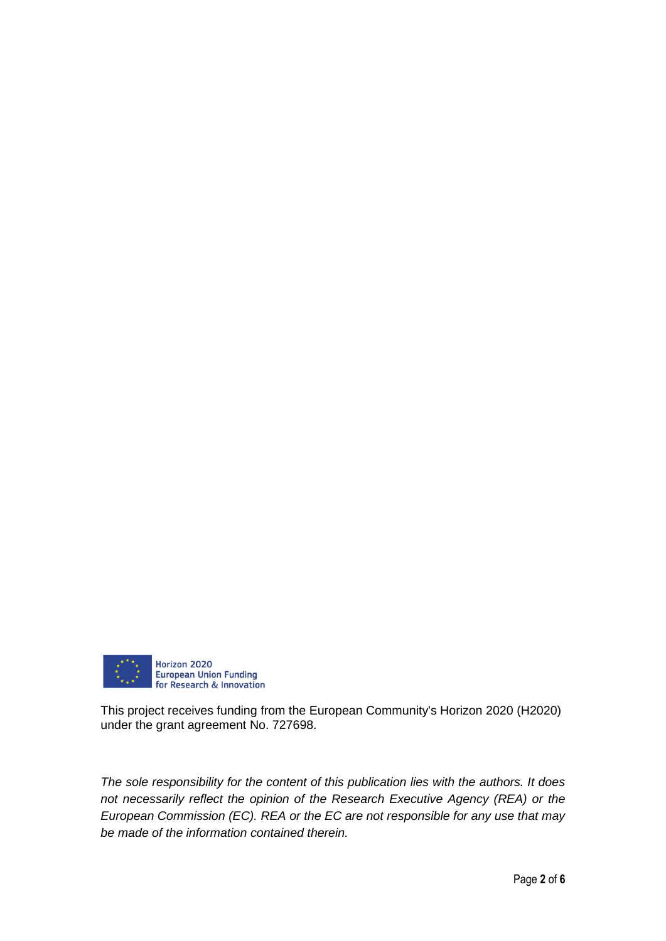

This project receives funding from the European Community's Horizon 2020 (H2020) under the grant agreement No. 727698.

*The sole responsibility for the content of this publication lies with the authors. It does not necessarily reflect the opinion of the Research Executive Agency (REA) or the European Commission (EC). REA or the EC are not responsible for any use that may be made of the information contained therein.*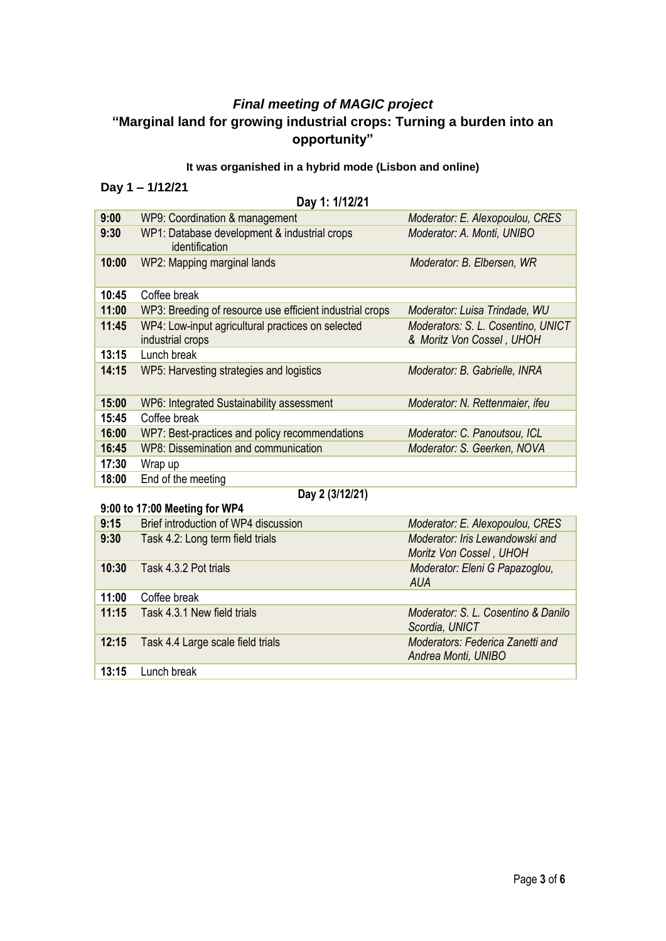# *Final meeting of MAGIC project*  **"Marginal land for growing industrial crops: Turning a burden into an opportunity"**

# **It was organished in a hybrid mode (Lisbon and online)**

# **Day 1 – 1/12/21**

#### **Day 1: 1/12/21**

| 9:00  | WP9: Coordination & management                                        | Moderator: E. Alexopoulou, CRES                                 |  |
|-------|-----------------------------------------------------------------------|-----------------------------------------------------------------|--|
| 9:30  | WP1: Database development & industrial crops<br>identification        | Moderator: A. Monti, UNIBO                                      |  |
| 10:00 | WP2: Mapping marginal lands                                           | Moderator: B. Elbersen, WR                                      |  |
| 10:45 | Coffee break                                                          |                                                                 |  |
| 11:00 | WP3: Breeding of resource use efficient industrial crops              | Moderator: Luisa Trindade, WU                                   |  |
| 11:45 | WP4: Low-input agricultural practices on selected<br>industrial crops | Moderators: S. L. Cosentino, UNICT<br>& Moritz Von Cossel, UHOH |  |
| 13:15 | Lunch break                                                           |                                                                 |  |
| 14:15 | WP5: Harvesting strategies and logistics                              | Moderator: B. Gabrielle, INRA                                   |  |
| 15:00 | WP6: Integrated Sustainability assessment                             | Moderator: N. Rettenmaier, ifeu                                 |  |
| 15:45 | Coffee break                                                          |                                                                 |  |
| 16:00 | WP7: Best-practices and policy recommendations                        | Moderator: C. Panoutsou, ICL                                    |  |
| 16:45 | WP8: Dissemination and communication                                  | Moderator: S. Geerken, NOVA                                     |  |
| 17:30 | Wrap up                                                               |                                                                 |  |
| 18:00 | End of the meeting                                                    |                                                                 |  |

#### **9:00 to 17:00 Meeting for WP4**

# **Day 2 (3/12/21)**

| $9.001011.00$ meeting for $V$ $V$ |                                      |                                                            |  |  |
|-----------------------------------|--------------------------------------|------------------------------------------------------------|--|--|
| 9:15                              | Brief introduction of WP4 discussion | Moderator: E. Alexopoulou, CRES                            |  |  |
| 9:30                              | Task 4.2: Long term field trials     | Moderator: Iris Lewandowski and<br>Moritz Von Cossel, UHOH |  |  |
| 10:30                             | Task 4.3.2 Pot trials                | Moderator: Eleni G Papazoglou,<br><b>AUA</b>               |  |  |
| 11:00                             | Coffee break                         |                                                            |  |  |
| 11:15                             | Task 4.3.1 New field trials          | Moderator: S. L. Cosentino & Danilo<br>Scordia, UNICT      |  |  |
| 12:15                             | Task 4.4 Large scale field trials    | Moderators: Federica Zanetti and<br>Andrea Monti, UNIBO    |  |  |
| 13:15                             | Lunch break                          |                                                            |  |  |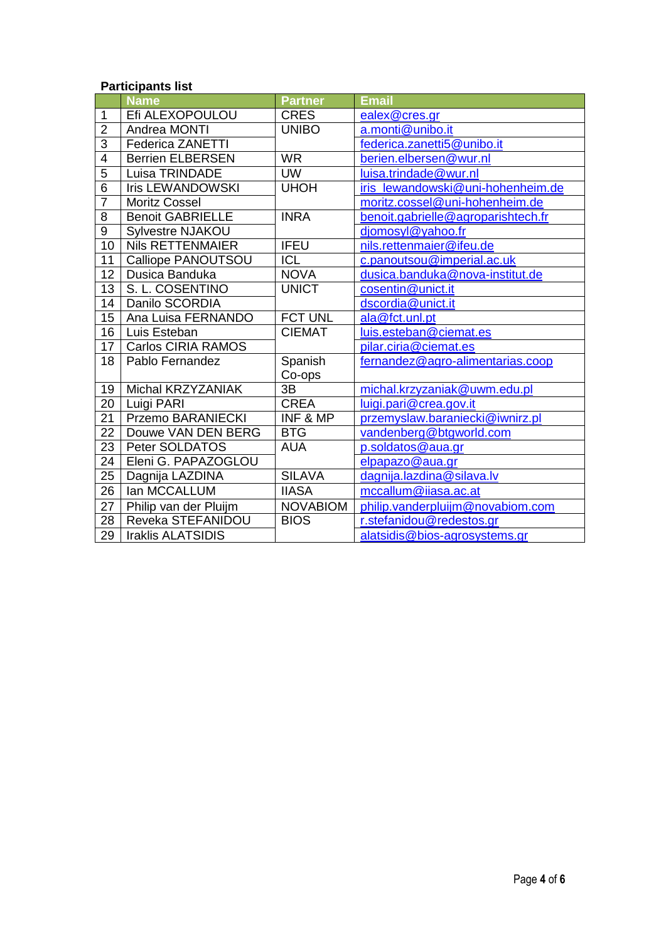#### **Participants list**

|                           |                                                                                                                                                                                                                                                       | <b>Email</b>                                                                                                                                                                   |
|---------------------------|-------------------------------------------------------------------------------------------------------------------------------------------------------------------------------------------------------------------------------------------------------|--------------------------------------------------------------------------------------------------------------------------------------------------------------------------------|
|                           |                                                                                                                                                                                                                                                       | ealex@cres.gr                                                                                                                                                                  |
|                           |                                                                                                                                                                                                                                                       | a.monti@unibo.it                                                                                                                                                               |
|                           |                                                                                                                                                                                                                                                       | federica.zanetti5@unibo.it                                                                                                                                                     |
|                           |                                                                                                                                                                                                                                                       | berien.elbersen@wur.nl                                                                                                                                                         |
|                           |                                                                                                                                                                                                                                                       | luisa.trindade@wur.nl                                                                                                                                                          |
|                           |                                                                                                                                                                                                                                                       | iris_lewandowski@uni-hohenheim.de                                                                                                                                              |
| <b>Moritz Cossel</b>      |                                                                                                                                                                                                                                                       | moritz.cossel@uni-hohenheim.de                                                                                                                                                 |
| <b>Benoit GABRIELLE</b>   | <b>INRA</b>                                                                                                                                                                                                                                           | benoit.gabrielle@agroparishtech.fr                                                                                                                                             |
| <b>Sylvestre NJAKOU</b>   |                                                                                                                                                                                                                                                       | djomosyl@yahoo.fr                                                                                                                                                              |
| <b>Nils RETTENMAIER</b>   | <b>IFEU</b>                                                                                                                                                                                                                                           | nils.rettenmaier@ifeu.de                                                                                                                                                       |
| Calliope PANOUTSOU        | ICL                                                                                                                                                                                                                                                   | c.panoutsou@imperial.ac.uk                                                                                                                                                     |
| Dusica Banduka            | <b>NOVA</b>                                                                                                                                                                                                                                           | dusica.banduka@nova-institut.de                                                                                                                                                |
| S. L. COSENTINO           | <b>UNICT</b>                                                                                                                                                                                                                                          | cosentin@unict.it                                                                                                                                                              |
| Danilo SCORDIA            |                                                                                                                                                                                                                                                       | dscordia@unict.it                                                                                                                                                              |
| Ana Luisa FERNANDO        | <b>FCT UNL</b>                                                                                                                                                                                                                                        | ala@fct.unl.pt                                                                                                                                                                 |
| Luis Esteban              | <b>CIEMAT</b>                                                                                                                                                                                                                                         | luis.esteban@ciemat.es                                                                                                                                                         |
| <b>Carlos CIRIA RAMOS</b> |                                                                                                                                                                                                                                                       | pilar.ciria@ciemat.es                                                                                                                                                          |
| Pablo Fernandez           | Spanish                                                                                                                                                                                                                                               | fernandez@agro-alimentarias.coop                                                                                                                                               |
|                           | Co-ops                                                                                                                                                                                                                                                |                                                                                                                                                                                |
| Michal KRZYZANIAK         | 3B                                                                                                                                                                                                                                                    | michal.krzyzaniak@uwm.edu.pl                                                                                                                                                   |
| Luigi PARI                |                                                                                                                                                                                                                                                       | luigi.pari@crea.gov.it                                                                                                                                                         |
|                           |                                                                                                                                                                                                                                                       | przemyslaw.baraniecki@iwnirz.pl                                                                                                                                                |
|                           |                                                                                                                                                                                                                                                       | vandenberg@btgworld.com                                                                                                                                                        |
|                           |                                                                                                                                                                                                                                                       | p.soldatos@aua.gr                                                                                                                                                              |
|                           |                                                                                                                                                                                                                                                       | elpapazo@aua.gr                                                                                                                                                                |
| Dagnija LAZDINA           |                                                                                                                                                                                                                                                       | dagnija.lazdina@silava.lv                                                                                                                                                      |
|                           |                                                                                                                                                                                                                                                       | mccallum@iiasa.ac.at                                                                                                                                                           |
| Philip van der Pluijm     | <b>NOVABIOM</b>                                                                                                                                                                                                                                       | philip.vanderpluijm@novabiom.com                                                                                                                                               |
| Reveka STEFANIDOU         | <b>BIOS</b>                                                                                                                                                                                                                                           | r.stefanidou@redestos.gr                                                                                                                                                       |
| <b>Iraklis ALATSIDIS</b>  |                                                                                                                                                                                                                                                       | alatsidis@bios-agrosystems.gr                                                                                                                                                  |
|                           | <b>Name</b><br>Efi ALEXOPOULOU<br>Andrea MONTI<br><b>Federica ZANETTI</b><br><b>Berrien ELBERSEN</b><br>Luisa TRINDADE<br><b>Iris LEWANDOWSKI</b><br>Przemo BARANIECKI<br>Douwe VAN DEN BERG<br>Peter SOLDATOS<br>Eleni G. PAPAZOGLOU<br>lan MCCALLUM | <b>Partner</b><br><b>CRES</b><br><b>UNIBO</b><br><b>WR</b><br><b>UW</b><br><b>UHOH</b><br><b>CREA</b><br>INF & MP<br><b>BTG</b><br><b>AUA</b><br><b>SILAVA</b><br><b>IIASA</b> |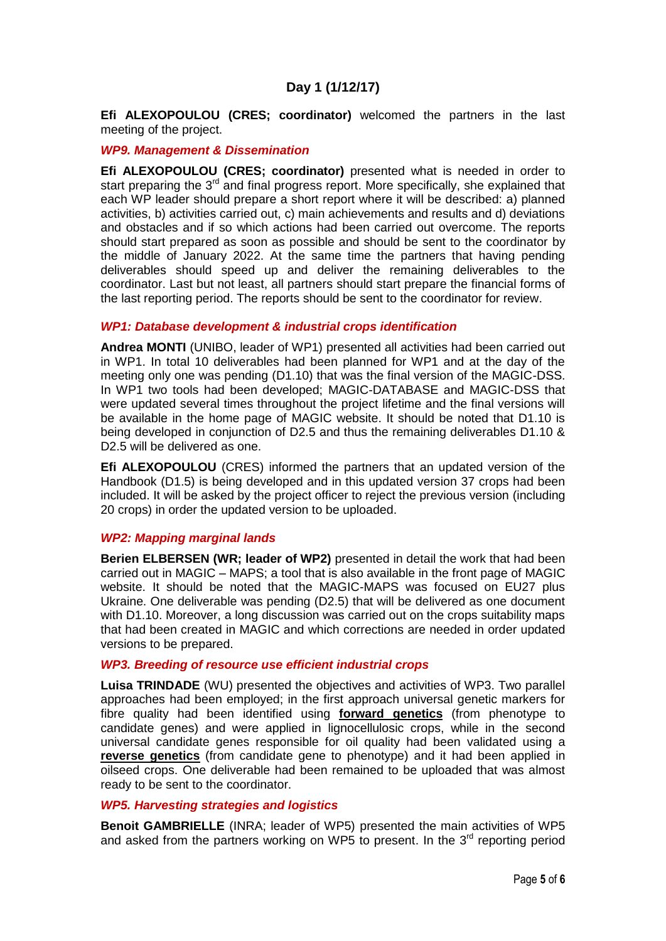# **Day 1 (1/12/17)**

**Efi ALEXOPOULOU (CRES; coordinator)** welcomed the partners in the last meeting of the project.

#### *WP9. Management & Dissemination*

**Efi ALEXOPOULOU (CRES; coordinator)** presented what is needed in order to start preparing the  $3^{rd}$  and final progress report. More specifically, she explained that each WP leader should prepare a short report where it will be described: a) planned activities, b) activities carried out, c) main achievements and results and d) deviations and obstacles and if so which actions had been carried out overcome. The reports should start prepared as soon as possible and should be sent to the coordinator by the middle of January 2022. At the same time the partners that having pending deliverables should speed up and deliver the remaining deliverables to the coordinator. Last but not least, all partners should start prepare the financial forms of the last reporting period. The reports should be sent to the coordinator for review.

#### *WP1: Database development & industrial crops identification*

**Andrea MONTI** (UNIBO, leader of WP1) presented all activities had been carried out in WP1. In total 10 deliverables had been planned for WP1 and at the day of the meeting only one was pending (D1.10) that was the final version of the MAGIC-DSS. In WP1 two tools had been developed; MAGIC-DATABASE and MAGIC-DSS that were updated several times throughout the project lifetime and the final versions will be available in the home page of MAGIC website. It should be noted that D1.10 is being developed in conjunction of D2.5 and thus the remaining deliverables D1.10 & D<sub>2.5</sub> will be delivered as one.

**Efi ALEXOPOULOU** (CRES) informed the partners that an updated version of the Handbook (D1.5) is being developed and in this updated version 37 crops had been included. It will be asked by the project officer to reject the previous version (including 20 crops) in order the updated version to be uploaded.

#### *WP2: Mapping marginal lands*

**Berien ELBERSEN (WR; leader of WP2)** presented in detail the work that had been carried out in MAGIC – MAPS; a tool that is also available in the front page of MAGIC website. It should be noted that the MAGIC-MAPS was focused on EU27 plus Ukraine. One deliverable was pending (D2.5) that will be delivered as one document with D1.10. Moreover, a long discussion was carried out on the crops suitability maps that had been created in MAGIC and which corrections are needed in order updated versions to be prepared.

#### *WP3. Breeding of resource use efficient industrial crops*

**Luisa TRINDADE** (WU) presented the objectives and activities of WP3. Two parallel approaches had been employed; in the first approach universal genetic markers for fibre quality had been identified using **forward genetics** (from phenotype to candidate genes) and were applied in lignocellulosic crops, while in the second universal candidate genes responsible for oil quality had been validated using a **reverse genetics** (from candidate gene to phenotype) and it had been applied in oilseed crops. One deliverable had been remained to be uploaded that was almost ready to be sent to the coordinator.

#### *WP5. Harvesting strategies and logistics*

**Benoit GAMBRIELLE** (INRA; leader of WP5) presented the main activities of WP5 and asked from the partners working on WP5 to present. In the  $3<sup>rd</sup>$  reporting period